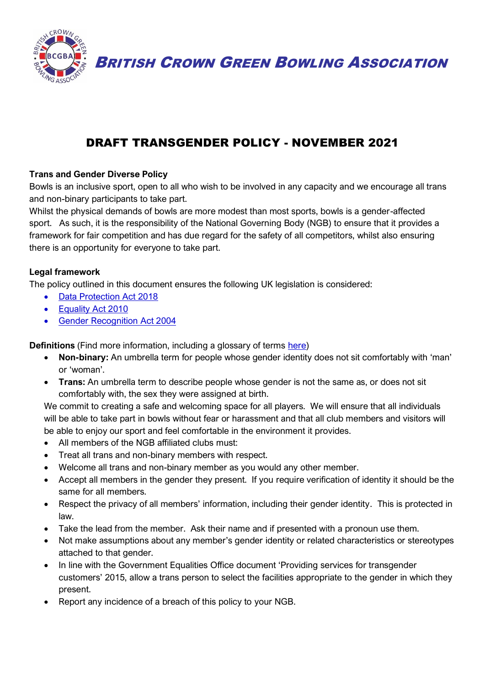

BRITISH CROWN GREEN BOWLING ASSOCIATION

# DRAFT TRANSGENDER POLICY - NOVEMBER 2021

## **Trans and Gender Diverse Policy**

Bowls is an inclusive sport, open to all who wish to be involved in any capacity and we encourage all trans and non-binary participants to take part.

Whilst the physical demands of bowls are more modest than most sports, bowls is a gender-affected sport. As such, it is the responsibility of the National Governing Body (NGB) to ensure that it provides a framework for fair competition and has due regard for the safety of all competitors, whilst also ensuring there is an opportunity for everyone to take part.

#### **Legal framework**

The policy outlined in this document ensures the following UK legislation is considered:

- [Data Protection Act 2018](https://www.gov.uk/data-protection)
- [Equality Act 2010](https://www.gov.uk/guidance/equality-act-2010-guidance)
- [Gender Recognition Act 2004](https://www.legislation.gov.uk/ukpga/2004/7/contents)

**Definitions** (Find more information, including a glossary of terms [here\)](https://www.stonewall.org.uk/help-advice/faqs-and-glossary/glossary-terms)

- **Non-binary:** An umbrella term for people whose gender identity does not sit comfortably with 'man' or 'woman'.
- **Trans:** An umbrella term to describe people whose gender is not the same as, or does not sit comfortably with, the sex they were assigned at birth.

We commit to creating a safe and welcoming space for all players. We will ensure that all individuals will be able to take part in bowls without fear or harassment and that all club members and visitors will be able to enjoy our sport and feel comfortable in the environment it provides.

- All members of the NGB affiliated clubs must:
- Treat all trans and non-binary members with respect.
- Welcome all trans and non-binary member as you would any other member.
- Accept all members in the gender they present. If you require verification of identity it should be the same for all members.
- Respect the privacy of all members' information, including their gender identity. This is protected in law.
- Take the lead from the member. Ask their name and if presented with a pronoun use them.
- Not make assumptions about any member's gender identity or related characteristics or stereotypes attached to that gender.
- In line with the Government Equalities Office document 'Providing services for transgender customers' 2015, allow a trans person to select the facilities appropriate to the gender in which they present.
- Report any incidence of a breach of this policy to your NGB.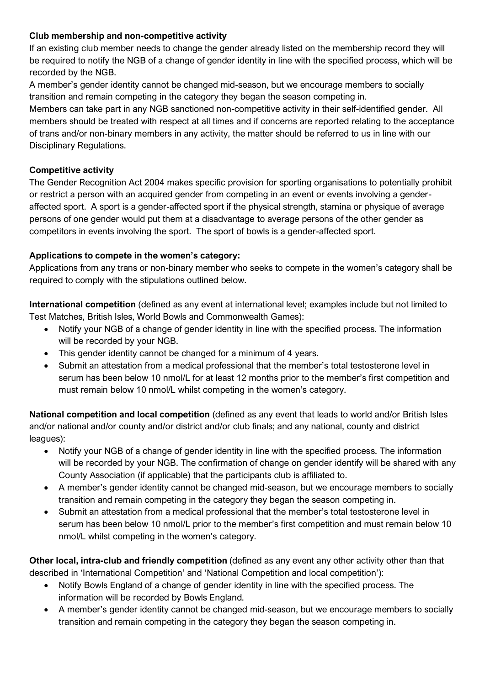## **Club membership and non-competitive activity**

If an existing club member needs to change the gender already listed on the membership record they will be required to notify the NGB of a change of gender identity in line with the specified process, which will be recorded by the NGB.

A member's gender identity cannot be changed mid-season, but we encourage members to socially transition and remain competing in the category they began the season competing in.

Members can take part in any NGB sanctioned non-competitive activity in their self-identified gender. All members should be treated with respect at all times and if concerns are reported relating to the acceptance of trans and/or non-binary members in any activity, the matter should be referred to us in line with our Disciplinary Regulations.

# **Competitive activity**

The Gender Recognition Act 2004 makes specific provision for sporting organisations to potentially prohibit or restrict a person with an acquired gender from competing in an event or events involving a genderaffected sport. A sport is a gender-affected sport if the physical strength, stamina or physique of average persons of one gender would put them at a disadvantage to average persons of the other gender as competitors in events involving the sport. The sport of bowls is a gender-affected sport.

# **Applications to compete in the women's category:**

Applications from any trans or non-binary member who seeks to compete in the women's category shall be required to comply with the stipulations outlined below.

**International competition** (defined as any event at international level; examples include but not limited to Test Matches, British Isles, World Bowls and Commonwealth Games):

- Notify your NGB of a change of gender identity in line with the specified process. The information will be recorded by your NGB.
- This gender identity cannot be changed for a minimum of 4 years.
- Submit an attestation from a medical professional that the member's total testosterone level in serum has been below 10 nmol/L for at least 12 months prior to the member's first competition and must remain below 10 nmol/L whilst competing in the women's category.

**National competition and local competition** (defined as any event that leads to world and/or British Isles and/or national and/or county and/or district and/or club finals; and any national, county and district leagues):

- Notify your NGB of a change of gender identity in line with the specified process. The information will be recorded by your NGB. The confirmation of change on gender identify will be shared with any County Association (if applicable) that the participants club is affiliated to.
- A member's gender identity cannot be changed mid-season, but we encourage members to socially transition and remain competing in the category they began the season competing in.
- Submit an attestation from a medical professional that the member's total testosterone level in serum has been below 10 nmol/L prior to the member's first competition and must remain below 10 nmol/L whilst competing in the women's category.

**Other local, intra-club and friendly competition** (defined as any event any other activity other than that described in 'International Competition' and 'National Competition and local competition'):

- Notify Bowls England of a change of gender identity in line with the specified process. The information will be recorded by Bowls England.
- A member's gender identity cannot be changed mid-season, but we encourage members to socially transition and remain competing in the category they began the season competing in.